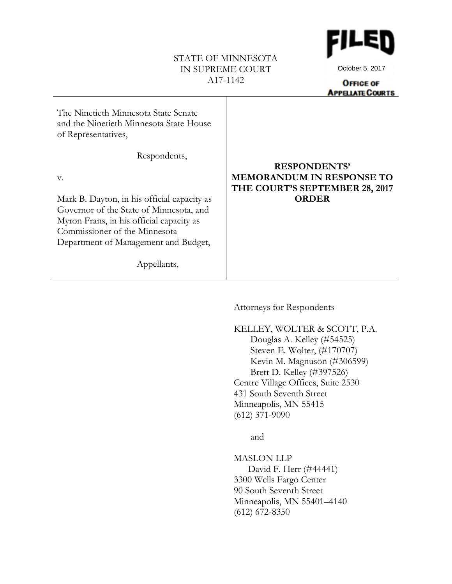# STATE OF MINNESOTA IN SUPREME COURT A17-1142



October 5, 2017

**OFFICE OF APPELIATE COURTS** 

| The Ninetieth Minnesota State Senate<br>and the Ninetieth Minnesota State House<br>of Representatives, |                                                                                           |
|--------------------------------------------------------------------------------------------------------|-------------------------------------------------------------------------------------------|
| Respondents,                                                                                           |                                                                                           |
| $V_{\bullet}$                                                                                          | <b>RESPONDENTS'</b><br><b>MEMORANDUM IN RESPONSE TO</b><br>THE COURT'S SEPTEMBER 28, 2017 |
| Mark B. Dayton, in his official capacity as                                                            | <b>ORDER</b>                                                                              |
| Governor of the State of Minnesota, and                                                                |                                                                                           |
| Myron Frans, in his official capacity as                                                               |                                                                                           |
| Commissioner of the Minnesota                                                                          |                                                                                           |
| Department of Management and Budget,                                                                   |                                                                                           |
| Appellants,                                                                                            |                                                                                           |

Attorneys for Respondents

KELLEY, WOLTER & SCOTT, P.A. Douglas A. Kelley (#54525) Steven E. Wolter, (#170707) Kevin M. Magnuson (#306599) Brett D. Kelley (#397526) Centre Village Offices, Suite 2530 431 South Seventh Street Minneapolis, MN 55415 (612) 371-9090

and

MASLON LLP David F. Herr (#44441) 3300 Wells Fargo Center 90 South Seventh Street Minneapolis, MN 55401–4140 (612) 672-8350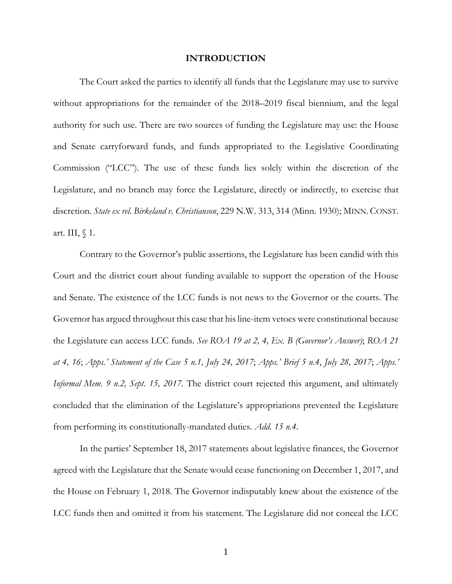## **INTRODUCTION**

The Court asked the parties to identify all funds that the Legislature may use to survive without appropriations for the remainder of the 2018–2019 fiscal biennium, and the legal authority for such use. There are two sources of funding the Legislature may use: the House and Senate carryforward funds, and funds appropriated to the Legislative Coordinating Commission ("LCC"). The use of these funds lies solely within the discretion of the Legislature, and no branch may force the Legislature, directly or indirectly, to exercise that discretion. *State ex rel. Birkeland v. Christianson*, 229 N.W. 313, 314 (Minn. 1930); MINN. CONST. art. III,  $\langle$  1.

Contrary to the Governor's public assertions, the Legislature has been candid with this Court and the district court about funding available to support the operation of the House and Senate. The existence of the LCC funds is not news to the Governor or the courts. The Governor has argued throughout this case that his line-item vetoes were constitutional because the Legislature can access LCC funds. *See ROA 19 at 2, 4, Ex. B (Governor's Answer)*; *ROA 21 at 4, 16*; *Apps.' Statement of the Case 5 n.1, July 24, 2017*; *Apps.' Brief 5 n.4*, *July 28, 2017*; *Apps.' Informal Mem. 9 n.2, Sept. 15, 2017*. The district court rejected this argument, and ultimately concluded that the elimination of the Legislature's appropriations prevented the Legislature from performing its constitutionally-mandated duties. *Add. 15 n.4*.

In the parties' September 18, 2017 statements about legislative finances, the Governor agreed with the Legislature that the Senate would cease functioning on December 1, 2017, and the House on February 1, 2018. The Governor indisputably knew about the existence of the LCC funds then and omitted it from his statement. The Legislature did not conceal the LCC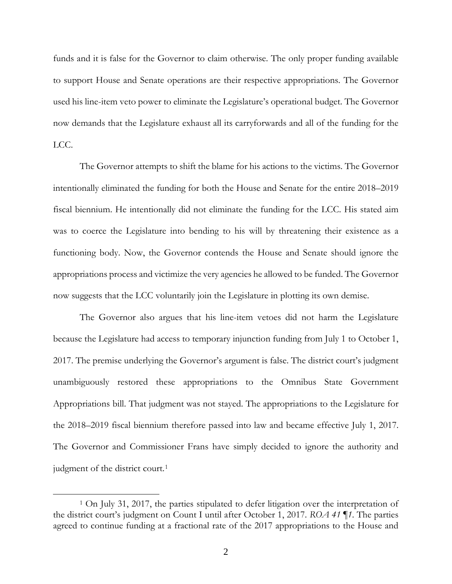funds and it is false for the Governor to claim otherwise. The only proper funding available to support House and Senate operations are their respective appropriations. The Governor used his line-item veto power to eliminate the Legislature's operational budget. The Governor now demands that the Legislature exhaust all its carryforwards and all of the funding for the LCC.

The Governor attempts to shift the blame for his actions to the victims. The Governor intentionally eliminated the funding for both the House and Senate for the entire 2018–2019 fiscal biennium. He intentionally did not eliminate the funding for the LCC. His stated aim was to coerce the Legislature into bending to his will by threatening their existence as a functioning body. Now, the Governor contends the House and Senate should ignore the appropriations process and victimize the very agencies he allowed to be funded. The Governor now suggests that the LCC voluntarily join the Legislature in plotting its own demise.

The Governor also argues that his line-item vetoes did not harm the Legislature because the Legislature had access to temporary injunction funding from July 1 to October 1, 2017. The premise underlying the Governor's argument is false. The district court's judgment unambiguously restored these appropriations to the Omnibus State Government Appropriations bill. That judgment was not stayed. The appropriations to the Legislature for the 2018–2019 fiscal biennium therefore passed into law and became effective July 1, 2017. The Governor and Commissioner Frans have simply decided to ignore the authority and judgment of the district court.<sup>[1](#page-2-0)</sup>

 $\overline{a}$ 

<span id="page-2-0"></span><sup>1</sup> On July 31, 2017, the parties stipulated to defer litigation over the interpretation of the district court's judgment on Count I until after October 1, 2017. *ROA 41 ¶1*. The parties agreed to continue funding at a fractional rate of the 2017 appropriations to the House and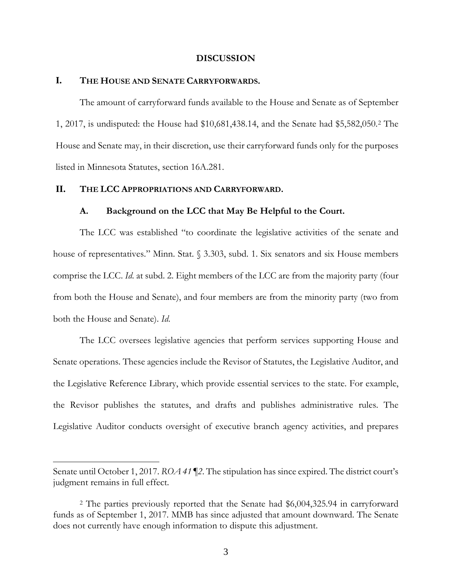## **DISCUSSION**

## **I. THE HOUSE AND SENATE CARRYFORWARDS.**

The amount of carryforward funds available to the House and Senate as of September 1, 2017, is undisputed: the House had \$10,681,438.14, and the Senate had \$5,582,050.[2](#page-3-0) The House and Senate may, in their discretion, use their carryforward funds only for the purposes listed in Minnesota Statutes, section 16A.281.

#### **II. THE LCC APPROPRIATIONS AND CARRYFORWARD.**

 $\overline{a}$ 

## **A. Background on the LCC that May Be Helpful to the Court.**

The LCC was established "to coordinate the legislative activities of the senate and house of representatives." Minn. Stat. § 3.303, subd. 1. Six senators and six House members comprise the LCC. *Id*. at subd. 2. Eight members of the LCC are from the majority party (four from both the House and Senate), and four members are from the minority party (two from both the House and Senate). *Id*.

The LCC oversees legislative agencies that perform services supporting House and Senate operations. These agencies include the Revisor of Statutes, the Legislative Auditor, and the Legislative Reference Library, which provide essential services to the state. For example, the Revisor publishes the statutes, and drafts and publishes administrative rules. The Legislative Auditor conducts oversight of executive branch agency activities, and prepares

Senate until October 1, 2017. *ROA 41 ¶2*. The stipulation has since expired. The district court's judgment remains in full effect.

<span id="page-3-0"></span><sup>2</sup> The parties previously reported that the Senate had \$6,004,325.94 in carryforward funds as of September 1, 2017. MMB has since adjusted that amount downward. The Senate does not currently have enough information to dispute this adjustment.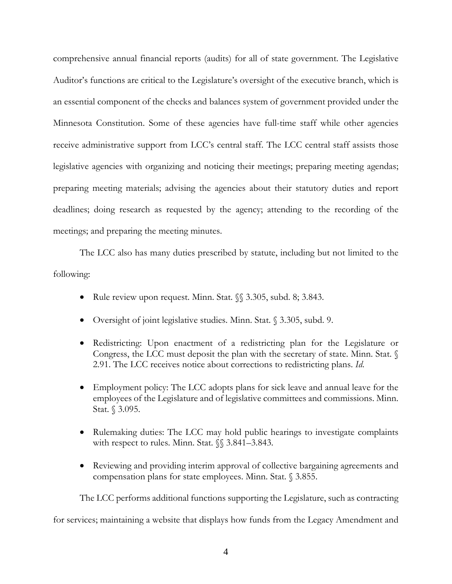comprehensive annual financial reports (audits) for all of state government. The Legislative Auditor's functions are critical to the Legislature's oversight of the executive branch, which is an essential component of the checks and balances system of government provided under the Minnesota Constitution. Some of these agencies have full-time staff while other agencies receive administrative support from LCC's central staff. The LCC central staff assists those legislative agencies with organizing and noticing their meetings; preparing meeting agendas; preparing meeting materials; advising the agencies about their statutory duties and report deadlines; doing research as requested by the agency; attending to the recording of the meetings; and preparing the meeting minutes.

The LCC also has many duties prescribed by statute, including but not limited to the following:

- Rule review upon request. Minn. Stat.  $\mathcal{S}\$  3.305, subd. 8; 3.843.
- Oversight of joint legislative studies. Minn. Stat. § 3.305, subd. 9.
- Redistricting: Upon enactment of a redistricting plan for the Legislature or Congress, the LCC must deposit the plan with the secretary of state. Minn. Stat. § 2.91. The LCC receives notice about corrections to redistricting plans. *Id*.
- Employment policy: The LCC adopts plans for sick leave and annual leave for the employees of the Legislature and of legislative committees and commissions. Minn. Stat. § 3.095.
- Rulemaking duties: The LCC may hold public hearings to investigate complaints with respect to rules. Minn. Stat.  $\S$  3.841–3.843.
- Reviewing and providing interim approval of collective bargaining agreements and compensation plans for state employees. Minn. Stat. § 3.855.

The LCC performs additional functions supporting the Legislature, such as contracting

for services; maintaining a website that displays how funds from the Legacy Amendment and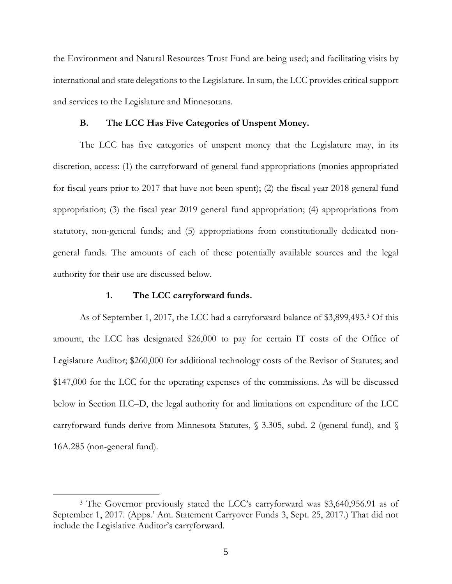the Environment and Natural Resources Trust Fund are being used; and facilitating visits by international and state delegations to the Legislature. In sum, the LCC provides critical support and services to the Legislature and Minnesotans.

## **B. The LCC Has Five Categories of Unspent Money.**

The LCC has five categories of unspent money that the Legislature may, in its discretion, access: (1) the carryforward of general fund appropriations (monies appropriated for fiscal years prior to 2017 that have not been spent); (2) the fiscal year 2018 general fund appropriation; (3) the fiscal year 2019 general fund appropriation; (4) appropriations from statutory, non-general funds; and (5) appropriations from constitutionally dedicated nongeneral funds. The amounts of each of these potentially available sources and the legal authority for their use are discussed below.

## **1. The LCC carryforward funds.**

 $\overline{a}$ 

As of September 1, 2017, the LCC had a carryforward balance of \$3,899,493.[3](#page-5-0) Of this amount, the LCC has designated \$26,000 to pay for certain IT costs of the Office of Legislature Auditor; \$260,000 for additional technology costs of the Revisor of Statutes; and \$147,000 for the LCC for the operating expenses of the commissions. As will be discussed below in Section II.C–D, the legal authority for and limitations on expenditure of the LCC carryforward funds derive from Minnesota Statutes, § 3.305, subd. 2 (general fund), and § 16A.285 (non-general fund).

<span id="page-5-0"></span><sup>3</sup> The Governor previously stated the LCC's carryforward was \$3,640,956.91 as of September 1, 2017. (Apps.' Am. Statement Carryover Funds 3, Sept. 25, 2017.) That did not include the Legislative Auditor's carryforward.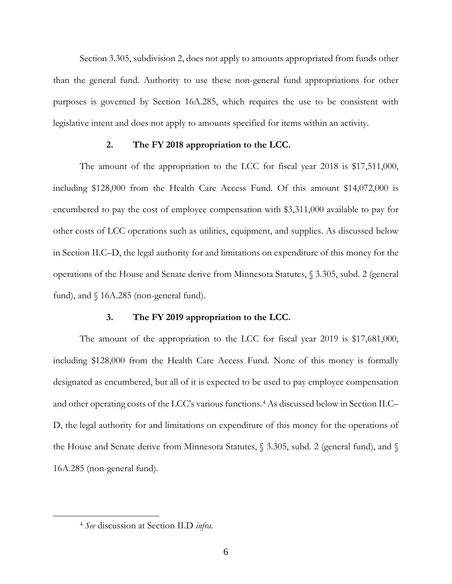Section 3.305, subdivision 2, does not apply to amounts appropriated from funds other than the general fund. Authority to use these non-general fund appropriations for other purposes is governed by Section 16A.285, which requires the use to be consistent with legislative intent and does not apply to amounts specified for items within an activity.

### **2. The FY 2018 appropriation to the LCC.**

The amount of the appropriation to the LCC for fiscal year 2018 is \$17,511,000, including \$128,000 from the Health Care Access Fund. Of this amount \$14,072,000 is encumbered to pay the cost of employee compensation with \$3,311,000 available to pay for other costs of LCC operations such as utilities, equipment, and supplies. As discussed below in Section II.C–D, the legal authority for and limitations on expenditure of this money for the operations of the House and Senate derive from Minnesota Statutes, § 3.305, subd. 2 (general fund), and  $\{16A.285 \text{ (non-generated fund)}.$ 

#### **3. The FY 2019 appropriation to the LCC.**

The amount of the appropriation to the LCC for fiscal year 2019 is \$17,681,000, including \$128,000 from the Health Care Access Fund. None of this money is formally designated as encumbered, but all of it is expected to be used to pay employee compensation and other operating costs of the LCC's various functions.[4](#page-6-0) As discussed below in Section II.C– D, the legal authority for and limitations on expenditure of this money for the operations of the House and Senate derive from Minnesota Statutes, § 3.305, subd. 2 (general fund), and § 16A.285 (non-general fund).

<span id="page-6-0"></span> $\overline{a}$ 

<sup>4</sup> *See* discussion at Section II.D *infra*.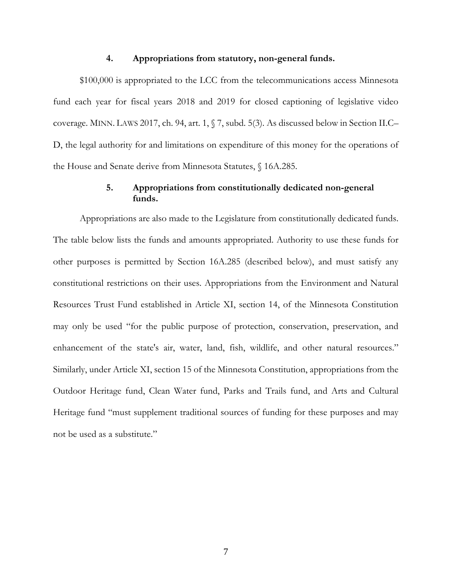## **4. Appropriations from statutory, non-general funds.**

\$100,000 is appropriated to the LCC from the telecommunications access Minnesota fund each year for fiscal years 2018 and 2019 for closed captioning of legislative video coverage. MINN. LAWS 2017, ch. 94, art. 1, § 7, subd. 5(3). As discussed below in Section II.C– D, the legal authority for and limitations on expenditure of this money for the operations of the House and Senate derive from Minnesota Statutes, § 16A.285.

# **5. Appropriations from constitutionally dedicated non-general funds.**

Appropriations are also made to the Legislature from constitutionally dedicated funds. The table below lists the funds and amounts appropriated. Authority to use these funds for other purposes is permitted by Section 16A.285 (described below), and must satisfy any constitutional restrictions on their uses. Appropriations from the Environment and Natural Resources Trust Fund established in Article XI, section 14, of the Minnesota Constitution may only be used "for the public purpose of protection, conservation, preservation, and enhancement of the state's air, water, land, fish, wildlife, and other natural resources." Similarly, under Article XI, section 15 of the Minnesota Constitution, appropriations from the Outdoor Heritage fund, Clean Water fund, Parks and Trails fund, and Arts and Cultural Heritage fund "must supplement traditional sources of funding for these purposes and may not be used as a substitute."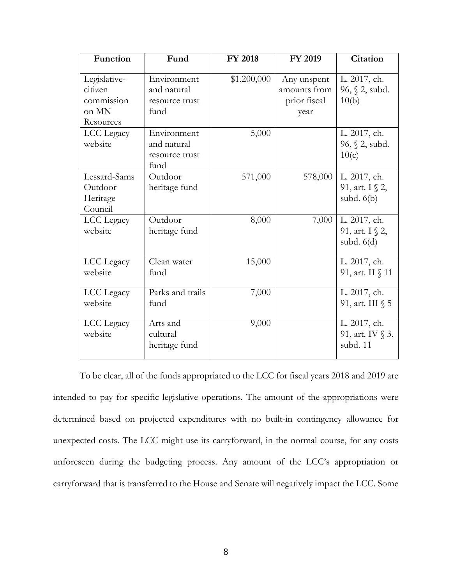| Function                                                    | Fund                                                 | <b>FY 2018</b> | FY 2019                                             | <b>Citation</b>                                   |
|-------------------------------------------------------------|------------------------------------------------------|----------------|-----------------------------------------------------|---------------------------------------------------|
| Legislative-<br>citizen<br>commission<br>on MN<br>Resources | Environment<br>and natural<br>resource trust<br>fund | \$1,200,000    | Any unspent<br>amounts from<br>prior fiscal<br>year | L. 2017, ch.<br>$96, \S 2$ , subd.<br>10(b)       |
| LCC Legacy<br>website                                       | Environment<br>and natural<br>resource trust<br>fund | 5,000          |                                                     | L. 2017, ch.<br>96, § 2, subd.<br>10(c)           |
| Lessard-Sams<br>Outdoor<br>Heritage<br>Council              | Outdoor<br>heritage fund                             | 571,000        | 578,000                                             | L. 2017, ch.<br>91, art. $I \$ 2,<br>subd. $6(b)$ |
| LCC Legacy<br>website                                       | Outdoor<br>heritage fund                             | 8,000          | 7,000                                               | L. 2017, ch.<br>91, art. I § 2,<br>subd. $6(d)$   |
| LCC Legacy<br>website                                       | Clean water<br>fund                                  | 15,000         |                                                     | L. 2017, ch.<br>91, art. II § 11                  |
| LCC Legacy<br>website                                       | Parks and trails<br>fund                             | 7,000          |                                                     | L. 2017, ch.<br>91, art. III § 5                  |
| LCC Legacy<br>website                                       | Arts and<br>cultural<br>heritage fund                | 9,000          |                                                     | L. 2017, ch.<br>91, art. IV § 3,<br>subd. 11      |

To be clear, all of the funds appropriated to the LCC for fiscal years 2018 and 2019 are intended to pay for specific legislative operations. The amount of the appropriations were determined based on projected expenditures with no built-in contingency allowance for unexpected costs. The LCC might use its carryforward, in the normal course, for any costs unforeseen during the budgeting process. Any amount of the LCC's appropriation or carryforward that is transferred to the House and Senate will negatively impact the LCC. Some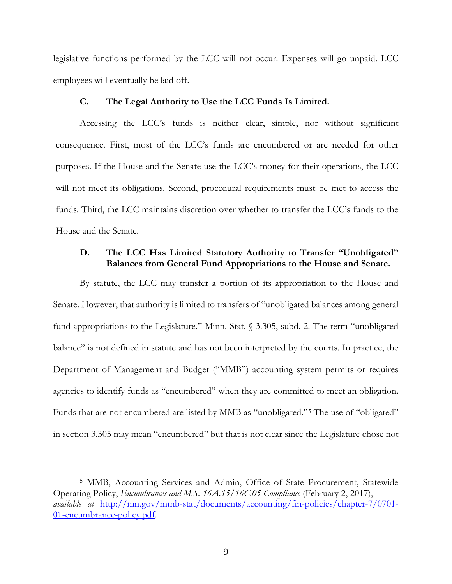legislative functions performed by the LCC will not occur. Expenses will go unpaid. LCC employees will eventually be laid off.

## **C. The Legal Authority to Use the LCC Funds Is Limited.**

Accessing the LCC's funds is neither clear, simple, nor without significant consequence. First, most of the LCC's funds are encumbered or are needed for other purposes. If the House and the Senate use the LCC's money for their operations, the LCC will not meet its obligations. Second, procedural requirements must be met to access the funds. Third, the LCC maintains discretion over whether to transfer the LCC's funds to the House and the Senate.

# **D. The LCC Has Limited Statutory Authority to Transfer "Unobligated" Balances from General Fund Appropriations to the House and Senate.**

By statute, the LCC may transfer a portion of its appropriation to the House and Senate. However, that authority is limited to transfers of "unobligated balances among general fund appropriations to the Legislature." Minn. Stat. § 3.305, subd. 2. The term "unobligated balance" is not defined in statute and has not been interpreted by the courts. In practice, the Department of Management and Budget ("MMB") accounting system permits or requires agencies to identify funds as "encumbered" when they are committed to meet an obligation. Funds that are not encumbered are listed by MMB as "unobligated."[5](#page-9-0) The use of "obligated" in section 3.305 may mean "encumbered" but that is not clear since the Legislature chose not

 $\overline{a}$ 

<span id="page-9-0"></span><sup>5</sup> MMB, Accounting Services and Admin, Office of State Procurement, Statewide Operating Policy, *Encumbrances and M.S. 16A.15/16C.05 Compliance* (February 2, 2017), *available at* [http://mn.gov/mmb-stat/documents/accounting/fin-policies/chapter-7/0701-](http://mn.gov/mmb-stat/documents/accounting/fin-policies/chapter-7/0701-01-encumbrance-policy.pdf) [01-encumbrance-policy.pdf.](http://mn.gov/mmb-stat/documents/accounting/fin-policies/chapter-7/0701-01-encumbrance-policy.pdf)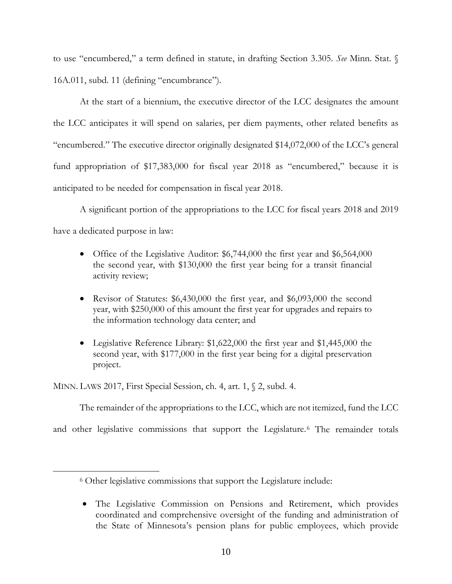to use "encumbered," a term defined in statute, in drafting Section 3.305. *See* Minn. Stat. § 16A.011, subd. 11 (defining "encumbrance").

At the start of a biennium, the executive director of the LCC designates the amount the LCC anticipates it will spend on salaries, per diem payments, other related benefits as "encumbered." The executive director originally designated \$14,072,000 of the LCC's general fund appropriation of \$17,383,000 for fiscal year 2018 as "encumbered," because it is anticipated to be needed for compensation in fiscal year 2018.

A significant portion of the appropriations to the LCC for fiscal years 2018 and 2019 have a dedicated purpose in law:

- Office of the Legislative Auditor: \$6,744,000 the first year and \$6,564,000 the second year, with \$130,000 the first year being for a transit financial activity review;
- Revisor of Statutes: \$6,430,000 the first year, and \$6,093,000 the second year, with \$250,000 of this amount the first year for upgrades and repairs to the information technology data center; and
- Legislative Reference Library: \$1,622,000 the first year and \$1,445,000 the second year, with \$177,000 in the first year being for a digital preservation project.

MINN. LAWS 2017, First Special Session, ch. 4, art. 1, § 2, subd. 4.

<span id="page-10-0"></span> $\overline{a}$ 

The remainder of the appropriations to the LCC, which are not itemized, fund the LCC

and other legislative commissions that support the Legislature.<sup>[6](#page-10-0)</sup> The remainder totals

<sup>6</sup> Other legislative commissions that support the Legislature include:

<sup>•</sup> The Legislative Commission on Pensions and Retirement, which provides coordinated and comprehensive oversight of the funding and administration of the State of Minnesota's pension plans for public employees, which provide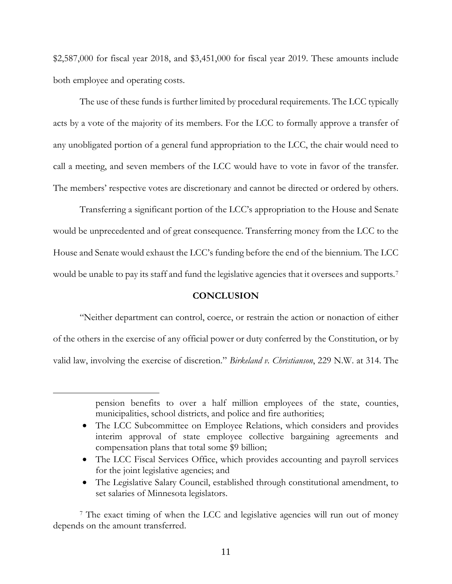\$2,587,000 for fiscal year 2018, and \$3,451,000 for fiscal year 2019. These amounts include both employee and operating costs.

The use of these funds is further limited by procedural requirements. The LCC typically acts by a vote of the majority of its members. For the LCC to formally approve a transfer of any unobligated portion of a general fund appropriation to the LCC, the chair would need to call a meeting, and seven members of the LCC would have to vote in favor of the transfer. The members' respective votes are discretionary and cannot be directed or ordered by others.

Transferring a significant portion of the LCC's appropriation to the House and Senate would be unprecedented and of great consequence. Transferring money from the LCC to the House and Senate would exhaust the LCC's funding before the end of the biennium. The LCC would be unable to pay its staff and fund the legislative agencies that it oversees and supports.<sup>[7](#page-11-0)</sup>

## **CONCLUSION**

"Neither department can control, coerce, or restrain the action or nonaction of either of the others in the exercise of any official power or duty conferred by the Constitution, or by valid law, involving the exercise of discretion." *Birkeland v. Christianson*, 229 N.W. at 314. The

 $\overline{a}$ 

- The LCC Fiscal Services Office, which provides accounting and payroll services for the joint legislative agencies; and
- The Legislative Salary Council, established through constitutional amendment, to set salaries of Minnesota legislators.

<span id="page-11-0"></span><sup>7</sup> The exact timing of when the LCC and legislative agencies will run out of money depends on the amount transferred.

pension benefits to over a half million employees of the state, counties, municipalities, school districts, and police and fire authorities;

<sup>•</sup> The LCC Subcommittee on Employee Relations, which considers and provides interim approval of state employee collective bargaining agreements and compensation plans that total some \$9 billion;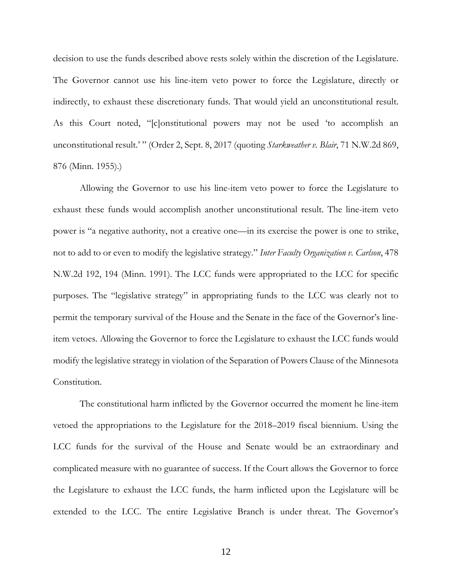decision to use the funds described above rests solely within the discretion of the Legislature. The Governor cannot use his line-item veto power to force the Legislature, directly or indirectly, to exhaust these discretionary funds. That would yield an unconstitutional result. As this Court noted, "[c]onstitutional powers may not be used 'to accomplish an unconstitutional result.' " (Order 2, Sept. 8, 2017 (quoting *Starkweather v. Blair*, 71 N.W.2d 869, 876 (Minn. 1955).)

Allowing the Governor to use his line-item veto power to force the Legislature to exhaust these funds would accomplish another unconstitutional result. The line-item veto power is "a negative authority, not a creative one—in its exercise the power is one to strike, not to add to or even to modify the legislative strategy." *Inter Faculty Organization v. Carlson*, 478 N.W.2d 192, 194 (Minn. 1991). The LCC funds were appropriated to the LCC for specific purposes. The "legislative strategy" in appropriating funds to the LCC was clearly not to permit the temporary survival of the House and the Senate in the face of the Governor's lineitem vetoes. Allowing the Governor to force the Legislature to exhaust the LCC funds would modify the legislative strategy in violation of the Separation of Powers Clause of the Minnesota Constitution.

The constitutional harm inflicted by the Governor occurred the moment he line-item vetoed the appropriations to the Legislature for the 2018–2019 fiscal biennium. Using the LCC funds for the survival of the House and Senate would be an extraordinary and complicated measure with no guarantee of success. If the Court allows the Governor to force the Legislature to exhaust the LCC funds, the harm inflicted upon the Legislature will be extended to the LCC. The entire Legislative Branch is under threat. The Governor's